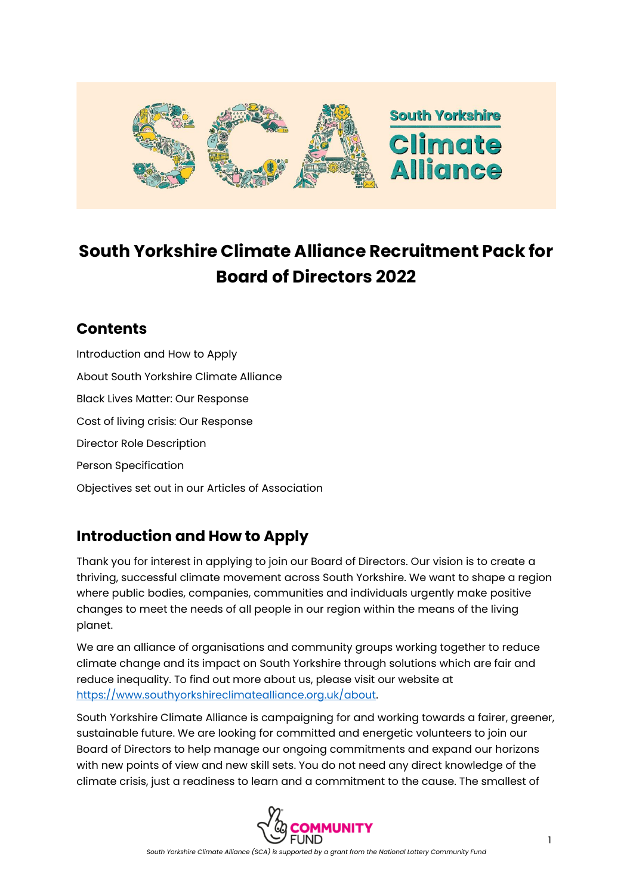

# **South Yorkshire Climate Alliance Recruitment Pack for Board of Directors 2022**

### **Contents**

Introduction and How to Apply About South Yorkshire Climate Alliance Black Lives Matter: Our Response Cost of living crisis: Our Response Director Role Description Person Specification Objectives set out in our Articles of Association

# **Introduction and How to Apply**

Thank you for interest in applying to join our Board of Directors. Our vision is to create a thriving, successful climate movement across South Yorkshire. We want to shape a region where public bodies, companies, communities and individuals urgently make positive changes to meet the needs of all people in our region within the means of the living planet.

We are an alliance of organisations and community groups working together to reduce climate change and its impact on South Yorkshire through solutions which are fair and reduce inequality. To find out more about us, please visit our website at [https://www.southyorkshireclimatealliance.org.uk/about.](https://www.southyorkshireclimatealliance.org.uk/about) 

South Yorkshire Climate Alliance is campaigning for and working towards a fairer, greener, sustainable future. We are looking for committed and energetic volunteers to join our Board of Directors to help manage our ongoing commitments and expand our horizons with new points of view and new skill sets. You do not need any direct knowledge of the climate crisis, just a readiness to learn and a commitment to the cause. The smallest of

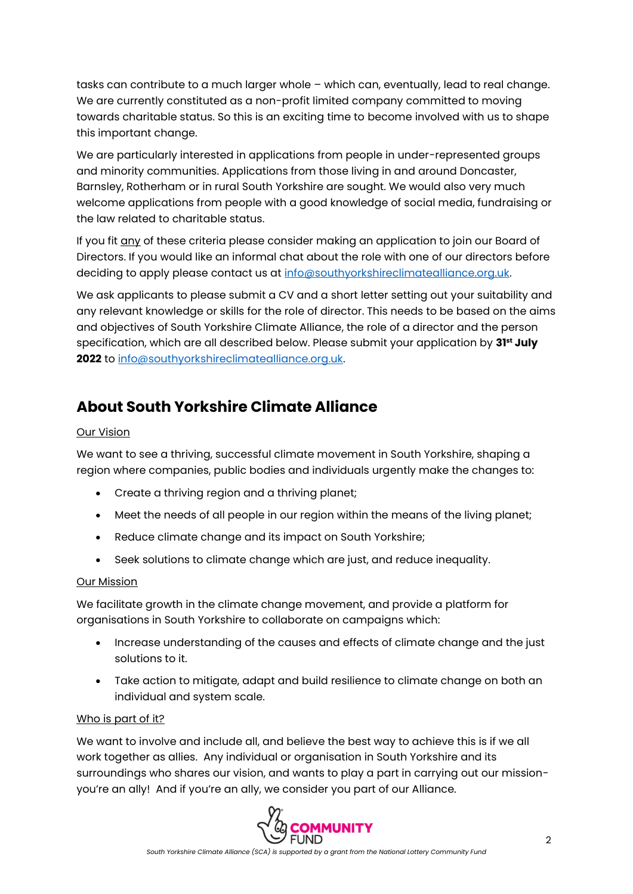tasks can contribute to a much larger whole – which can, eventually, lead to real change. We are currently constituted as a non-profit limited company committed to moving towards charitable status. So this is an exciting time to become involved with us to shape this important change.

We are particularly interested in applications from people in under-represented groups and minority communities. Applications from those living in and around Doncaster, Barnsley, Rotherham or in rural South Yorkshire are sought. We would also very much welcome applications from people with a good knowledge of social media, fundraising or the law related to charitable status.

If you fit any of these criteria please consider making an application to join our Board of Directors. If you would like an informal chat about the role with one of our directors before deciding to apply please contact us at [info@southyorkshireclimatealliance.org.uk.](mailto:info@southyorkshireclimatealliance.org.uk)

We ask applicants to please submit a CV and a short letter setting out your suitability and any relevant knowledge or skills for the role of director. This needs to be based on the aims and objectives of South Yorkshire Climate Alliance, the role of a director and the person specification, which are all described below. Please submit your application by **31st July 2022** to [info@southyorkshireclimatealliance.org.uk.](mailto:info@southyorkshireclimatealliance.org.uk) 

# **About South Yorkshire Climate Alliance**

#### Our Vision

We want to see a thriving, successful climate movement in South Yorkshire, shaping a region where companies, public bodies and individuals urgently make the changes to:

- Create a thriving region and a thriving planet;
- Meet the needs of all people in our region within the means of the living planet;
- Reduce climate change and its impact on South Yorkshire;
- Seek solutions to climate change which are just, and reduce inequality.

#### Our Mission

We facilitate growth in the climate change movement, and provide a platform for organisations in South Yorkshire to collaborate on campaigns which:

- Increase understanding of the causes and effects of climate change and the just solutions to it.
- Take action to mitigate, adapt and build resilience to climate change on both an individual and system scale.

#### Who is part of it?

We want to involve and include all, and believe the best way to achieve this is if we all work together as allies. Any individual or organisation in South Yorkshire and its surroundings who shares our vision, and wants to play a part in carrying out our missionyou're an ally! And if you're an ally, we consider you part of our Alliance.

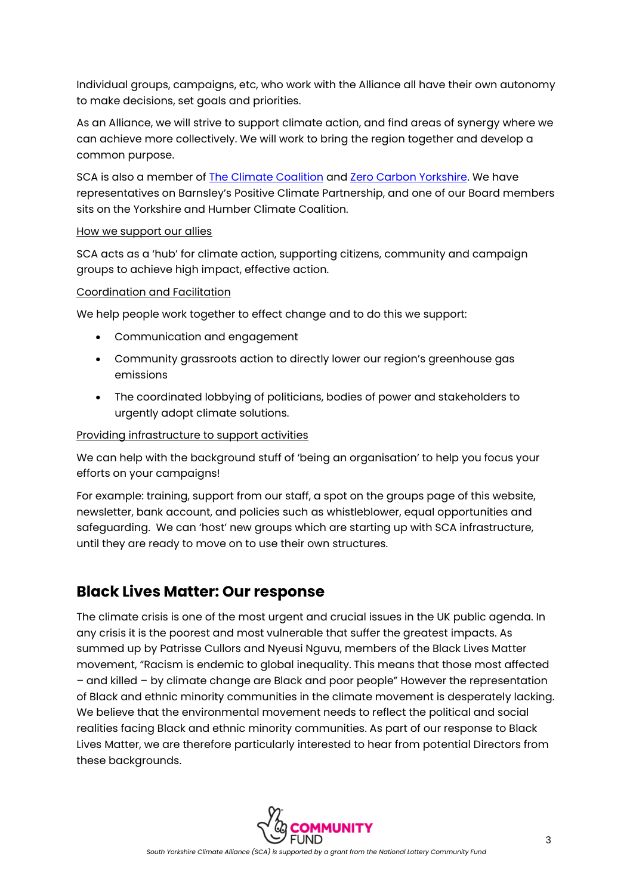Individual groups, campaigns, etc, who work with the Alliance all have their own autonomy to make decisions, set goals and priorities.

As an Alliance, we will strive to support climate action, and find areas of synergy where we can achieve more collectively. We will work to bring the region together and develop a common purpose.

SCA is also a member of [The Climate Coalition](https://www.theclimatecoalition.org/) and [Zero Carbon Yorkshire.](https://www.zerocarbonyorkshire.org/) We have representatives on Barnsley's Positive Climate Partnership, and one of our Board members sits on the Yorkshire and Humber Climate Coalition.

#### How we support our allies

SCA acts as a 'hub' for climate action, supporting citizens, community and campaign groups to achieve high impact, effective action.

#### Coordination and Facilitation

We help people work together to effect change and to do this we support:

- Communication and engagement
- Community grassroots action to directly lower our region's greenhouse gas emissions
- The coordinated lobbying of politicians, bodies of power and stakeholders to urgently adopt climate solutions.

#### Providing infrastructure to support activities

We can help with the background stuff of 'being an organisation' to help you focus your efforts on your campaigns!

For example: training, support from our staff, a spot on the groups page of this website, newsletter, bank account, and policies such as whistleblower, equal opportunities and safeguarding. We can 'host' new groups which are starting up with SCA infrastructure, until they are ready to move on to use their own structures.

### **Black Lives Matter: Our response**

The climate crisis is one of the most urgent and crucial issues in the UK public agenda. In any crisis it is the poorest and most vulnerable that suffer the greatest impacts. As summed up by Patrisse Cullors and Nyeusi Nguvu, members of the Black Lives Matter movement, "Racism is endemic to global inequality. This means that those most affected – and killed – by climate change are Black and poor people" However the representation of Black and ethnic minority communities in the climate movement is desperately lacking. We believe that the environmental movement needs to reflect the political and social realities facing Black and ethnic minority communities. As part of our response to Black Lives Matter, we are therefore particularly interested to hear from potential Directors from these backgrounds.

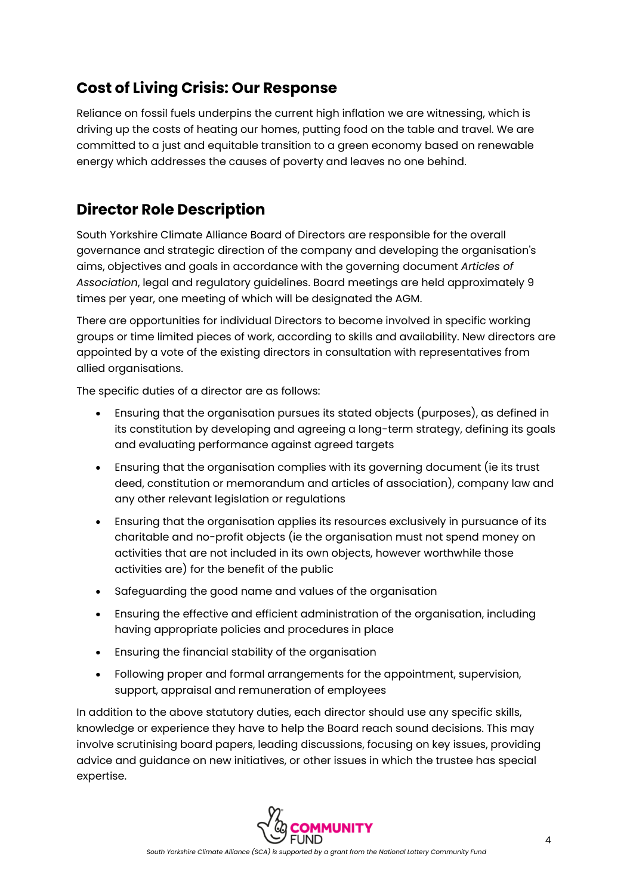# **Cost of Living Crisis: Our Response**

Reliance on fossil fuels underpins the current high inflation we are witnessing, which is driving up the costs of heating our homes, putting food on the table and travel. We are committed to a just and equitable transition to a green economy based on renewable energy which addresses the causes of poverty and leaves no one behind.

## **Director Role Description**

South Yorkshire Climate Alliance Board of Directors are responsible for the overall governance and strategic direction of the company and developing the organisation's aims, objectives and goals in accordance with the governing document *Articles of Association*, legal and regulatory guidelines. Board meetings are held approximately 9 times per year, one meeting of which will be designated the AGM.

There are opportunities for individual Directors to become involved in specific working groups or time limited pieces of work, according to skills and availability. New directors are appointed by a vote of the existing directors in consultation with representatives from allied organisations.

The specific duties of a director are as follows:

- Ensuring that the organisation pursues its stated objects (purposes), as defined in its constitution by developing and agreeing a long-term strategy, defining its goals and evaluating performance against agreed targets
- Ensuring that the organisation complies with its governing document (ie its trust deed, constitution or memorandum and articles of association), company law and any other relevant legislation or regulations
- Ensuring that the organisation applies its resources exclusively in pursuance of its charitable and no-profit objects (ie the organisation must not spend money on activities that are not included in its own objects, however worthwhile those activities are) for the benefit of the public
- Safeguarding the good name and values of the organisation
- Ensuring the effective and efficient administration of the organisation, including having appropriate policies and procedures in place
- Ensuring the financial stability of the organisation
- Following proper and formal arrangements for the appointment, supervision, support, appraisal and remuneration of employees

In addition to the above statutory duties, each director should use any specific skills, knowledge or experience they have to help the Board reach sound decisions. This may involve scrutinising board papers, leading discussions, focusing on key issues, providing advice and guidance on new initiatives, or other issues in which the trustee has special expertise.